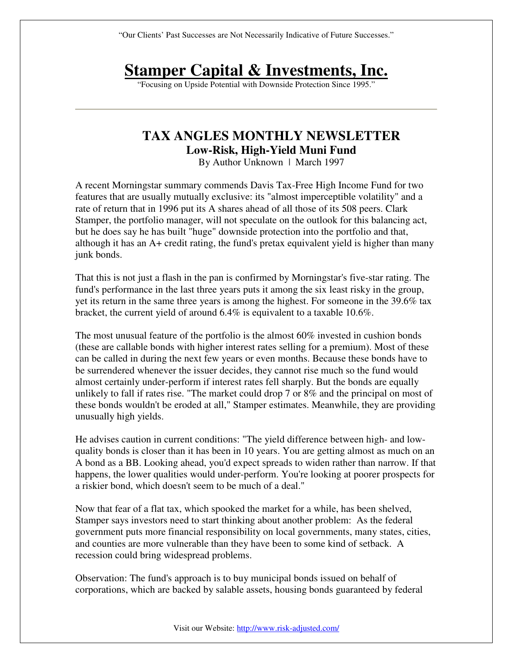"Our Clients' Past Successes are Not Necessarily Indicative of Future Successes."

## **Stamper Capital & Investments, Inc.**

"Focusing on Upside Potential with Downside Protection Since 1995."

## **TAX ANGLES MONTHLY NEWSLETTER Low-Risk, High-Yield Muni Fund**

By Author Unknown | March 1997

A recent Morningstar summary commends Davis Tax-Free High Income Fund for two features that are usually mutually exclusive: its "almost imperceptible volatility" and a rate of return that in 1996 put its A shares ahead of all those of its 508 peers. Clark Stamper, the portfolio manager, will not speculate on the outlook for this balancing act, but he does say he has built "huge" downside protection into the portfolio and that, although it has an A+ credit rating, the fund's pretax equivalent yield is higher than many junk bonds.

That this is not just a flash in the pan is confirmed by Morningstar's five-star rating. The fund's performance in the last three years puts it among the six least risky in the group, yet its return in the same three years is among the highest. For someone in the 39.6% tax bracket, the current yield of around 6.4% is equivalent to a taxable 10.6%.

The most unusual feature of the portfolio is the almost  $60\%$  invested in cushion bonds (these are callable bonds with higher interest rates selling for a premium). Most of these can be called in during the next few years or even months. Because these bonds have to be surrendered whenever the issuer decides, they cannot rise much so the fund would almost certainly under-perform if interest rates fell sharply. But the bonds are equally unlikely to fall if rates rise. "The market could drop 7 or 8% and the principal on most of these bonds wouldn't be eroded at all," Stamper estimates. Meanwhile, they are providing unusually high yields.

He advises caution in current conditions: "The yield difference between high- and lowquality bonds is closer than it has been in 10 years. You are getting almost as much on an A bond as a BB. Looking ahead, you'd expect spreads to widen rather than narrow. If that happens, the lower qualities would under-perform. You're looking at poorer prospects for a riskier bond, which doesn't seem to be much of a deal."

Now that fear of a flat tax, which spooked the market for a while, has been shelved, Stamper says investors need to start thinking about another problem: As the federal government puts more financial responsibility on local governments, many states, cities, and counties are more vulnerable than they have been to some kind of setback. A recession could bring widespread problems.

Observation: The fund's approach is to buy municipal bonds issued on behalf of corporations, which are backed by salable assets, housing bonds guaranteed by federal